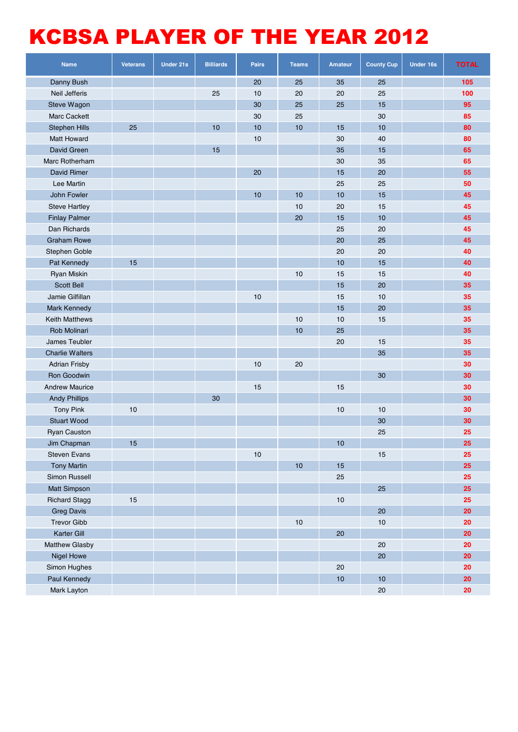## KCBSA PLAYER OF THE YEAR 2012

| <b>Name</b>            | <b>Veterans</b> | <b>Under 21s</b> | <b>Billiards</b> | <b>Pairs</b> | <b>Teams</b> | <b>Amateur</b> | <b>County Cup</b> | <b>Under 16s</b> | <b>TOTAL</b> |
|------------------------|-----------------|------------------|------------------|--------------|--------------|----------------|-------------------|------------------|--------------|
| Danny Bush             |                 |                  |                  | 20           | 25           | 35             | 25                |                  | 105          |
| <b>Neil Jefferis</b>   |                 |                  | 25               | 10           | 20           | 20             | 25                |                  | 100          |
| Steve Wagon            |                 |                  |                  | 30           | 25           | 25             | 15                |                  | 95           |
| <b>Marc Cackett</b>    |                 |                  |                  | 30           | 25           |                | 30                |                  | 85           |
| <b>Stephen Hills</b>   | 25              |                  | 10               | 10           | 10           | 15             | 10                |                  | 80           |
| <b>Matt Howard</b>     |                 |                  |                  | $10$         |              | 30             | 40                |                  | 80           |
| David Green            |                 |                  | 15               |              |              | 35             | 15                |                  | 65           |
| Marc Rotherham         |                 |                  |                  |              |              | 30             | 35                |                  | 65           |
| David Rimer            |                 |                  |                  | 20           |              | 15             | 20                |                  | 55           |
| Lee Martin             |                 |                  |                  |              |              | 25             | 25                |                  | 50           |
| John Fowler            |                 |                  |                  | 10           | 10           | 10             | 15                |                  | 45           |
| <b>Steve Hartley</b>   |                 |                  |                  |              | 10           | 20             | 15                |                  | 45           |
| <b>Finlay Palmer</b>   |                 |                  |                  |              | 20           | 15             | 10                |                  | 45           |
| Dan Richards           |                 |                  |                  |              |              | 25             | 20                |                  | 45           |
| <b>Graham Rowe</b>     |                 |                  |                  |              |              | 20             | 25                |                  | 45           |
| Stephen Goble          |                 |                  |                  |              |              | 20             | 20                |                  | 40           |
| Pat Kennedy            | 15              |                  |                  |              |              | 10             | 15                |                  | 40           |
| Ryan Miskin            |                 |                  |                  |              | $10$         | 15             | 15                |                  | 40           |
| Scott Bell             |                 |                  |                  |              |              | 15             | 20                |                  | 35           |
| Jamie Gilfillan        |                 |                  |                  | 10           |              | 15             | 10                |                  | 35           |
| Mark Kennedy           |                 |                  |                  |              |              | 15             | 20                |                  | 35           |
| <b>Keith Matthews</b>  |                 |                  |                  |              | 10           | 10             | 15                |                  | 35           |
| Rob Molinari           |                 |                  |                  |              | 10           | 25             |                   |                  | 35           |
| James Teubler          |                 |                  |                  |              |              | 20             | 15                |                  | 35           |
| <b>Charlie Walters</b> |                 |                  |                  |              |              |                | 35                |                  | 35           |
| <b>Adrian Frisby</b>   |                 |                  |                  | 10           | 20           |                |                   |                  | 30           |
| Ron Goodwin            |                 |                  |                  |              |              |                | 30                |                  | 30           |
| <b>Andrew Maurice</b>  |                 |                  |                  | 15           |              | 15             |                   |                  | 30           |
| <b>Andy Phillips</b>   |                 |                  | 30               |              |              |                |                   |                  | 30           |
| <b>Tony Pink</b>       | $10$            |                  |                  |              |              | 10             | 10                |                  | 30           |
| <b>Stuart Wood</b>     |                 |                  |                  |              |              |                | 30                |                  | 30           |
| <b>Ryan Causton</b>    |                 |                  |                  |              |              |                | 25                |                  | 25           |
| Jim Chapman            | 15              |                  |                  |              |              | 10             |                   |                  | 25           |
| Steven Evans           |                 |                  |                  | $10$         |              |                | 15                |                  | 25           |
| <b>Tony Martin</b>     |                 |                  |                  |              | $10$         | $15$           |                   |                  | 25           |
| Simon Russell          |                 |                  |                  |              |              | 25             |                   |                  | 25           |
| <b>Matt Simpson</b>    |                 |                  |                  |              |              |                | 25                |                  | 25           |
| <b>Richard Stagg</b>   | 15              |                  |                  |              |              | $10$           |                   |                  | 25           |
| <b>Greg Davis</b>      |                 |                  |                  |              |              |                | 20                |                  | 20           |
| <b>Trevor Gibb</b>     |                 |                  |                  |              | $10$         |                | 10                |                  | 20           |
| Karter Gill            |                 |                  |                  |              |              | $20\,$         |                   |                  | 20           |
| Matthew Glasby         |                 |                  |                  |              |              |                | 20                |                  | 20           |
| <b>Nigel Howe</b>      |                 |                  |                  |              |              |                | 20                |                  | 20           |
| Simon Hughes           |                 |                  |                  |              |              | 20             |                   |                  | 20           |
| Paul Kennedy           |                 |                  |                  |              |              | 10             | 10                |                  | 20           |
| Mark Layton            |                 |                  |                  |              |              |                | $20\,$            |                  | 20           |